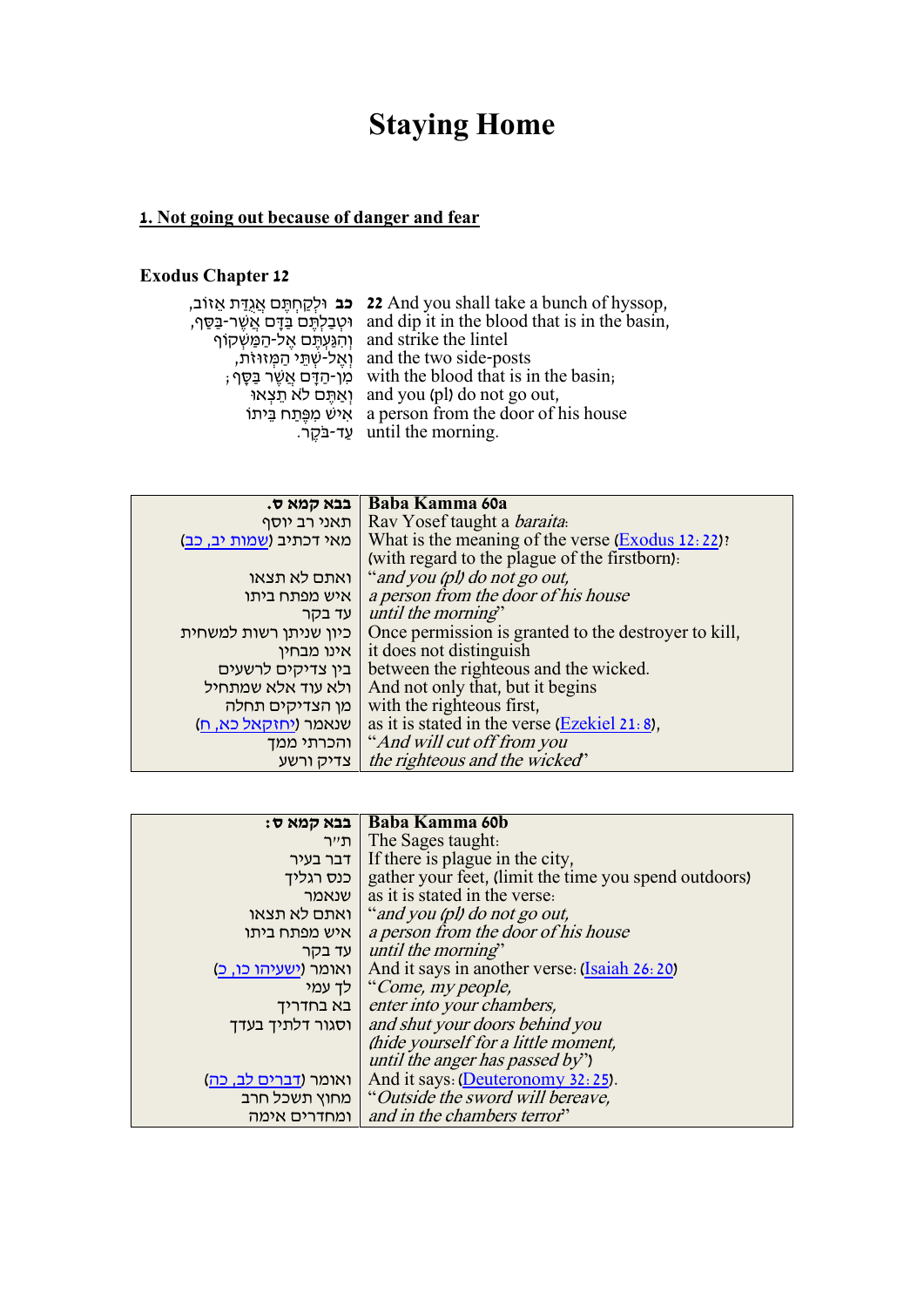# **Staying Home**

## **1. Not going out because of danger and fear**

### **Exodus Chapter 12**

|                                      | יב, 22 And you shall take a bunch of hyssop,  |
|--------------------------------------|-----------------------------------------------|
| וּטִבַלְתֵּם בַּדָּם אֲשֶׁר-בַּסֵּף, | and dip it in the blood that is in the basin, |
| וְהִגַּעְתֵּם אֱל-הַמַּשִּׁקוֹף      | and strike the lintel                         |
| וְאֵל-שְׁתֵי הַמְּזוּזת,             | and the two side-posts                        |
| ֹמְן-הַדָּם אֲשֶׁר בַּסֶּף ;         | with the blood that is in the basin,          |
| ואתם לא תִצְאוּ                      | and you (pl) do not go out,                   |
| איש מפתח ביתו                        | a person from the door of his house           |
|                                      | until the morning.                            |
|                                      |                                               |

| בבא קמא ס.              | Baba Kamma 60a                                       |
|-------------------------|------------------------------------------------------|
| תאני רב יוסף            | Rav Yosef taught a <i>baraita</i> .                  |
| מאי דכתיב (שמות יב, כב) | What is the meaning of the verse $(Exodus 12:22)$ :  |
|                         | (with regard to the plague of the firstborn).        |
| ואתם לא תצאו            | "and you (pl) do not go out,                         |
| איש מפתח ביתו           | a person from the door of his house                  |
| עד בקר                  | until the morning"                                   |
| כיון שניתן רשות למשחית  | Once permission is granted to the destroyer to kill, |
| אינו מבחין              | it does not distinguish                              |
| בין צדיקים לרשעים       | between the righteous and the wicked.                |
| ולא עוד אלא שמתחיל      | And not only that, but it begins                     |
| מן הצדיקים תחלה         | with the righteous first,                            |
| שנאמר (יחזקאל כא, ח)    | as it is stated in the verse $(Ezekiel 21.8)$ ,      |
| והכרתי ממך              | "And will cut off from you                           |
| צדיק ורשע               | the righteous and the wicked"                        |

| בבא קמא ס:                    | Baba Kamma 60b                                                    |
|-------------------------------|-------------------------------------------------------------------|
| ∣ ת״ר                         | The Sages taught.                                                 |
| דבר בעיר                      | If there is plague in the city,                                   |
|                               | כנס רגליך   gather your feet, (limit the time you spend outdoors) |
| ן שנאמר                       | as it is stated in the verse.                                     |
|                               | ואתם לא תצאו   "and you (pl) do not go out,                       |
| איש מפתח ביתו                 | a person from the door of his house                               |
| ן עד בקר                      | until the morning"                                                |
| ואומר (ישעיהו כו, כ)          | And it says in another verse: (Isaiah 26: 20)                     |
|                               | לך עמי (Come, my people,                                          |
| בא בחדריך                     | enter into your chambers,                                         |
| וסגור דלתיך בעדך              | and shut your doors behind you                                    |
|                               | (hide yourself for a little moment,                               |
|                               | until the anger has passed by")                                   |
| ואומר ( <u>דברים לב, כה</u> ) | And it says: (Deuteronomy 32:25).                                 |
|                               | מחוץ תשכל חרב ("Outside the sword will bereave,                   |
| ומחדרים אימה                  | and in the chambers terror"                                       |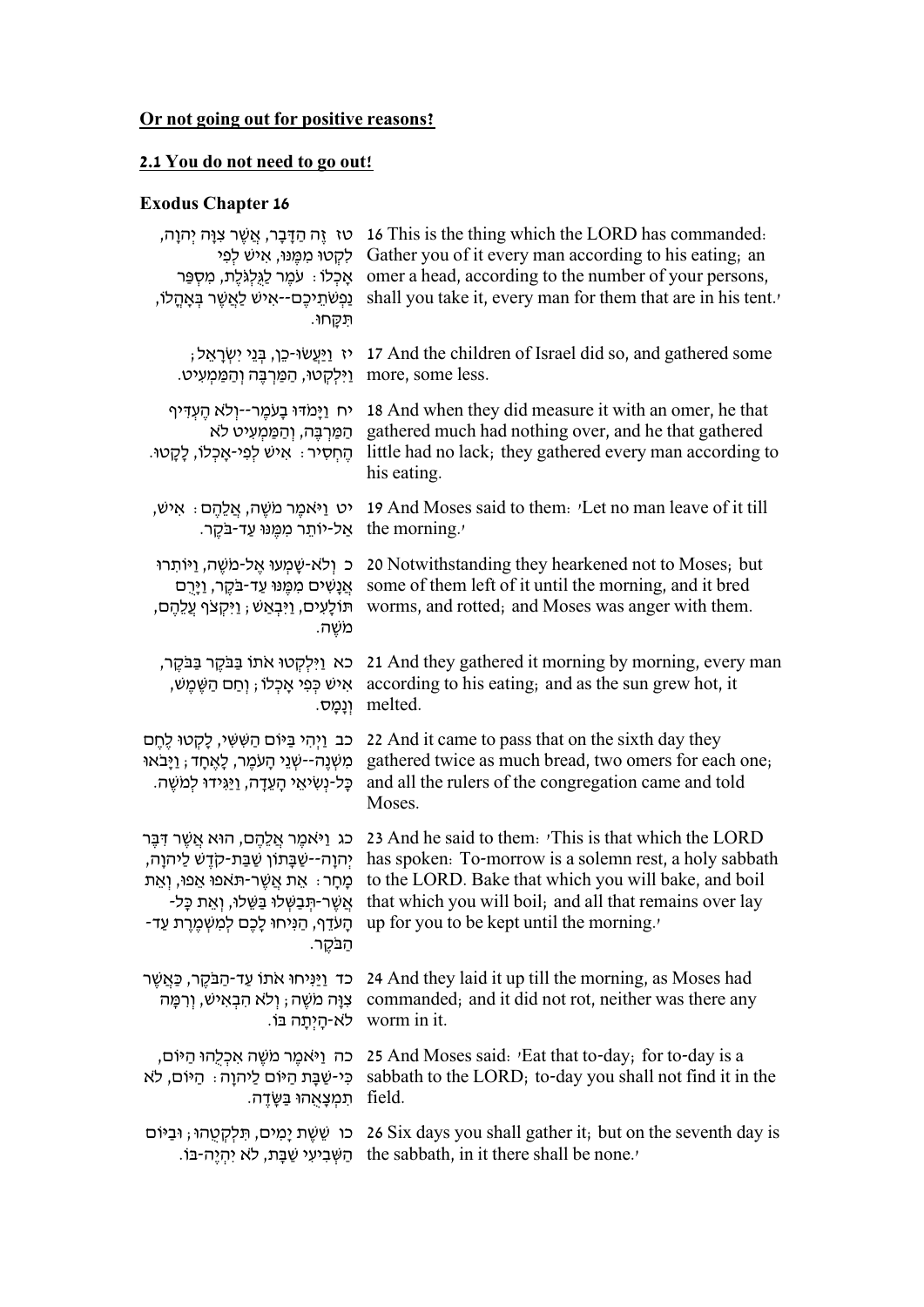# **Or not going out for positive reasons?**

### **2.1 You do not need to go out!**

## **Exodus Chapter 16**

| ָטז ֶזֶה הַדָּבָר, אֲשֶׁר צִוָּה יְהוָה,<br>לקטו ממֵנוּ, אִישׁ לִפִּי<br>אָכְלוֹ : עֹמֵר לַגְּלִגְלֵת, מִסְפַּר<br>ַנְפְשֹׁתֵיכֶם--אָישׁ לַאֲשֶׁר בִּאָהֳלוֹ,<br>תִּקְחוּ. | 16 This is the thing which the LORD has commanded.<br>Gather you of it every man according to his eating, an<br>omer a head, according to the number of your persons,<br>shall you take it, every man for them that are in his tent. |
|----------------------------------------------------------------------------------------------------------------------------------------------------------------------------|--------------------------------------------------------------------------------------------------------------------------------------------------------------------------------------------------------------------------------------|
| יז <u>וַיַּעֲ</u> שׂוּ-כֵן, בָּנֵי יִשְׂרָאֵל;                                                                                                                             | 17 And the children of Israel did so, and gathered some                                                                                                                                                                              |
| ַוַיִּלְקְטוּ, הַמַּרְבֵּה וְהַמַּמְעִיט.                                                                                                                                  | more, some less.                                                                                                                                                                                                                     |
| יח וַיַּמֹדּוּ בָעֹמֶר--וְלֹא הֵעְדִּיף<br>הַמַּרְבֵּה, וְהַמַּמְעִיט לֹא<br>הֵחִסְיר ִּ אִישׁ לְפִי-אֲכְלוֹ, לָקָטוּ.                                                     | 18 And when they did measure it with an omer, he that<br>gathered much had nothing over, and he that gathered<br>little had no lack; they gathered every man according to<br>his eating.                                             |
| יט וַיֹּאמֵר מֹשֵׁה, אֲלֵהֶם <sub>:</sub> אִישׁ,                                                                                                                           | 19 And Moses said to them. <i>'Let</i> no man leave of it till                                                                                                                                                                       |
| אַל-יוֹתֵר מִמֵּנּוּ עַד-בֹּקֶר.                                                                                                                                           | the morning.                                                                                                                                                                                                                         |
| כ ולא-שָׁמְעוּ אֱל-מֹשֶׁה, וַיּוֹתְרוּ<br>אֲנָשִׁים מִמֵּנּוּ עַד-בַּקֵר, וַיָּרֶם<br>תּוֹלָעִים, וַיִּבְאַשׁ ; וַיִּקְצֹף עֲלֵהֶם,<br>משֵׁה.                              | 20 Notwithstanding they hearkened not to Moses; but<br>some of them left of it until the morning, and it bred<br>worms, and rotted; and Moses was anger with them.                                                                   |
| כא וַיִּלְקָטוּ אֹתוֹ בַּבֹּקֶר בַּבֹּקֶר,                                                                                                                                 | 21 And they gathered it morning by morning, every man                                                                                                                                                                                |
| אִישׁ כְּפִי אָכְלוֹ ; וְחַם הַשֶּׁמֵשׁ,                                                                                                                                   | according to his eating; and as the sun grew hot, it                                                                                                                                                                                 |
| וִנְמָס.                                                                                                                                                                   | melted.                                                                                                                                                                                                                              |
| כב וַיִּהִי בַּיּוֹם הַשָּׁשִׁי, לָקְטוּ לֵחֵם<br>מְשָׁנֵה--שָׁנֵי הָעֹמֵר, לָאֵחָד; וַיָּבֹאוּ<br>ּכָּל-נְשִׂיאֵי הָעֲדָה, <u>וַי</u> ּגְידוּ לִמִשֵּׁה.                  | 22 And it came to pass that on the sixth day they<br>gathered twice as much bread, two omers for each one;<br>and all the rulers of the congregation came and told<br>Moses.                                                         |
| כג וַיּאמֵר אֲלֵהֵם, הוּא אֲשֶׁר דִּבֵּר                                                                                                                                   | 23 And he said to them. This is that which the LORD                                                                                                                                                                                  |
| יְהוַה--שַׁבָּתוֹן שַׁבַּת-קֹדֵשׁ לַיהוַה,                                                                                                                                 | has spoken. To-morrow is a solemn rest, a holy sabbath                                                                                                                                                                               |
| מָחָר ּ אֵת אֲשֶׁר-תֹּאמַי אֵפוּ, וְאֵת                                                                                                                                    | to the LORD. Bake that which you will bake, and boil                                                                                                                                                                                 |
| אֲשֶׁר-תִּבַשָּׁלוּ בַּשֵּׁלוּ, וְאֵת כָּל-                                                                                                                                | that which you will boil, and all that remains over lay                                                                                                                                                                              |
| הבקר.                                                                                                                                                                      | μp for you to be kept until the morning.′ הָנִיחוּ לָכֶם לְמִשְׁמֶרֶת עַד-                                                                                                                                                           |
| כד וַיַּנִּיחוּ אתו עַד-הַבַּקֵר, כַּאֲשֶׁר<br>צְוָּה מִשֶּׁה ; וְלֹא הִבְאִישׁ, וְרִמָּה<br>.worm in it לא-הִיְתָה בּוֹ                                                   | 24 And they laid it up till the morning, as Moses had<br>commanded; and it did not rot, neither was there any                                                                                                                        |
| כה וַיֹּאמֵר מִשֵּׁה אִכְלָהוּ הַיּוֹם,                                                                                                                                    | 25 And Moses said: 'Eat that to-day; for to-day is a                                                                                                                                                                                 |
| כִּי-שַׁבָּת הַיּוֹם לַיהוָה : הַיּוֹם, לֹא                                                                                                                                | sabbath to the LORD; to-day you shall not find it in the                                                                                                                                                                             |
| ּתִמְצָאָהוּ בַּשֶּׂדֵה.                                                                                                                                                   | field.                                                                                                                                                                                                                               |
| כו שֵׁשֵׁת יָמִים, תִּלְקָטְהוּ; וּבִיּוֹם                                                                                                                                 | 26 Six days you shall gather it, but on the seventh day is                                                                                                                                                                           |
| ּהַשְּׁבִיעִי שַׁבָּת, לֹא יְהָיֵה-בּוֹ.                                                                                                                                   | the sabbath, in it there shall be none.                                                                                                                                                                                              |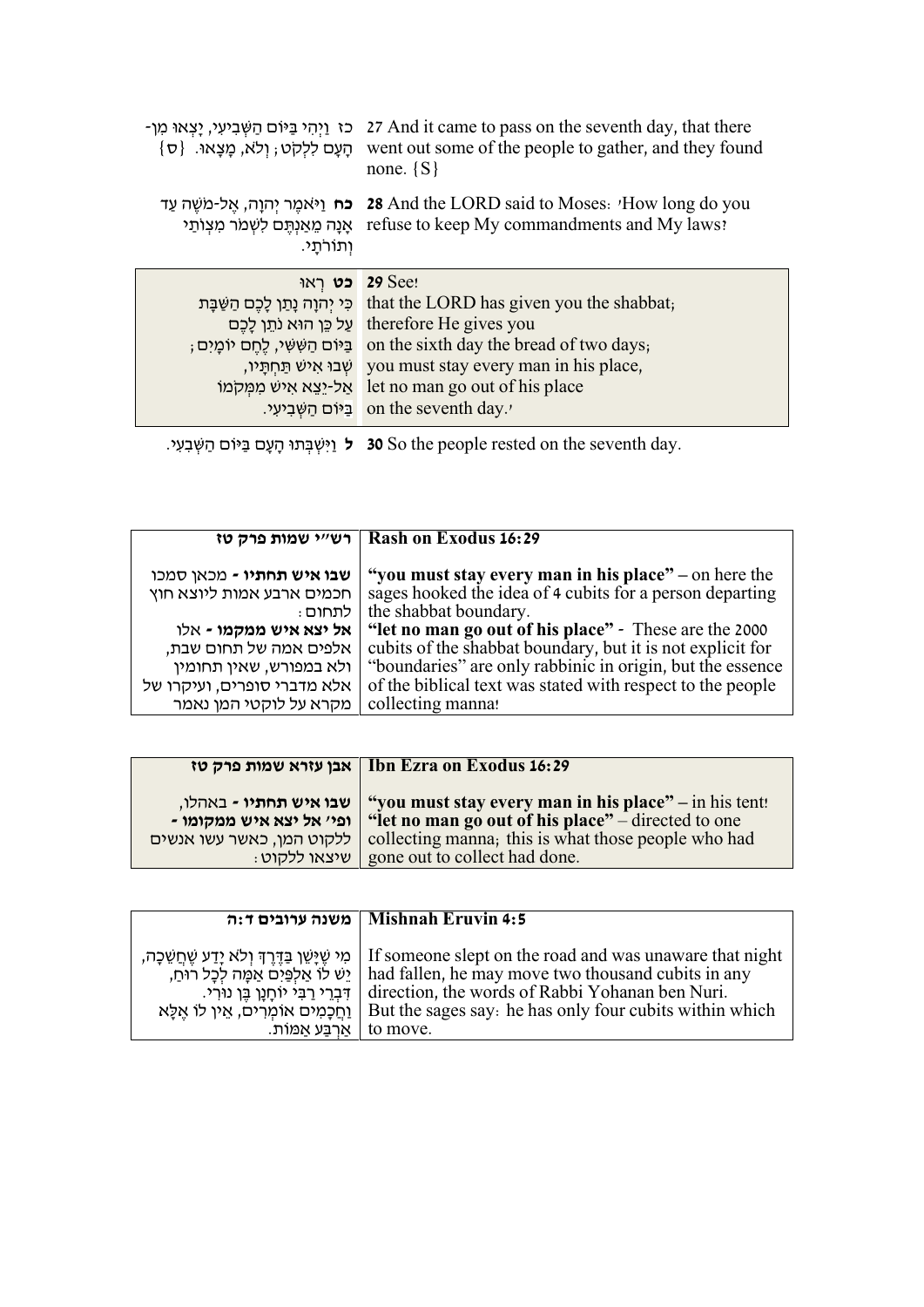| כז וַיְהִי בַּיּוֹם הַשְּׁבִיעִי, יַצְאוּ מִן-<br>ּהַעֲם לְלָקְט; וְלֹא, מַצְאוּ. {ס   | 27 And it came to pass on the seventh day, that there<br>went out some of the people to gather, and they found<br>none. $\{S\}$                                                                                                                                                                 |
|----------------------------------------------------------------------------------------|-------------------------------------------------------------------------------------------------------------------------------------------------------------------------------------------------------------------------------------------------------------------------------------------------|
| אָנָה מֱאַנְתֵּם לְשְׁמֹר מִצְוֹתַי<br>ותורתי.                                         | יאמֵר יִהוָה, אֱל-מֹשֵׁה עַד 28 And the LORD said to Moses: $'$ How long do you<br>refuse to keep My commandments and My laws?                                                                                                                                                                  |
| כט ראו<br>  בֵּיּוֹם הַשְּׁשִׁי, לֵחֵם יוֹמָיִם;<br>שבו איש תחתיו,<br>אל-יצא איש ממקמו | <b>29 See!</b><br>רֵכִּי יִהְוָה נָתַן לָכֶם הַשַּׁבָּת that the LORD has given you the shabbat;<br>על כֵּן הוּא נתֵן לָכֵם therefore He gives you<br>on the sixth day the bread of two days,<br>you must stay every man in his place,<br>let no man go out of his place<br>on the seventh day. |

יִאָבְּתוּ הָעָם בַּיּוֹם הַשְּׁבִעִי. 30 So the people rested on the seventh day.

|                             | רש"י שמות פרק טז   Rash on Exodus 16:29                    |
|-----------------------------|------------------------------------------------------------|
| שבו איש תחתיו - מכאן סמכו   | "you must stay every man in his place" – on here the       |
| חכמים ארבע אמות ליוצא חוץ   | sages hooked the idea of 4 cubits for a person departing   |
| : לתחום                     | the shabbat boundary.                                      |
| אל יצא איש ממקמו - אלו      | "let no man go out of his place" - These are the 2000      |
| אלפים אמה של תחום שבת,      | cubits of the shabbat boundary, but it is not explicit for |
| ולא במפורש, שאין תחומין     | "boundaries" are only rabbinic in origin, but the essence  |
| אלא מדברי סופרים, ועיקרו של | of the biblical text was stated with respect to the people |
| מקרא על לוקטי המן נאמר      | collecting manna!                                          |

|                                                                                                         | Ibn Ezra on Exodus 16:29   אבן עזרא שמות פרק טז                                                                                                                                                     |
|---------------------------------------------------------------------------------------------------------|-----------------------------------------------------------------------------------------------------------------------------------------------------------------------------------------------------|
| <b>שבו איש תחתיו -</b> באהלו,<br>- ופי' אל יצא איש ממקומו<br>ללקוט המן, כאשר עשו אנשים<br>: שיצאו ללקוט | "you must stay every man in his place" – in his tent!<br>"let no man go out of his place" – directed to one<br>collecting manna; this is what those people who had<br>gone out to collect had done. |
|                                                                                                         |                                                                                                                                                                                                     |

|                                                                                                                                                      | Mishnah Eruvin 4:5   משנה ערובים ד:ה                                                                                                                                                                                                                                                        |
|------------------------------------------------------------------------------------------------------------------------------------------------------|---------------------------------------------------------------------------------------------------------------------------------------------------------------------------------------------------------------------------------------------------------------------------------------------|
| ַיֵּשׁ לוֹ אַלְפַּיִם אַמֶּה לְכָל רוֹחַ,<br>  דִּבְרֵי רַבִּי יוֹחַנֵן בֵּן נוּרִי.<br>ַוְחֲכָמִים אוֹמְרִים, אֵין לוֹ אֱלָּא<br>ּאַרְבַּע אַמּוֹת. | ת יִשְׁיַשֵּׁן בַּדֵּרֵךְ וְלֹא יָדַע שֵׁחֲשֵׁכָה   If someone slept on the road and was unaware that night<br>had fallen, he may move two thousand cubits in any<br>direction, the words of Rabbi Yohanan ben Nuri.<br>But the sages say: he has only four cubits within which<br>to move. |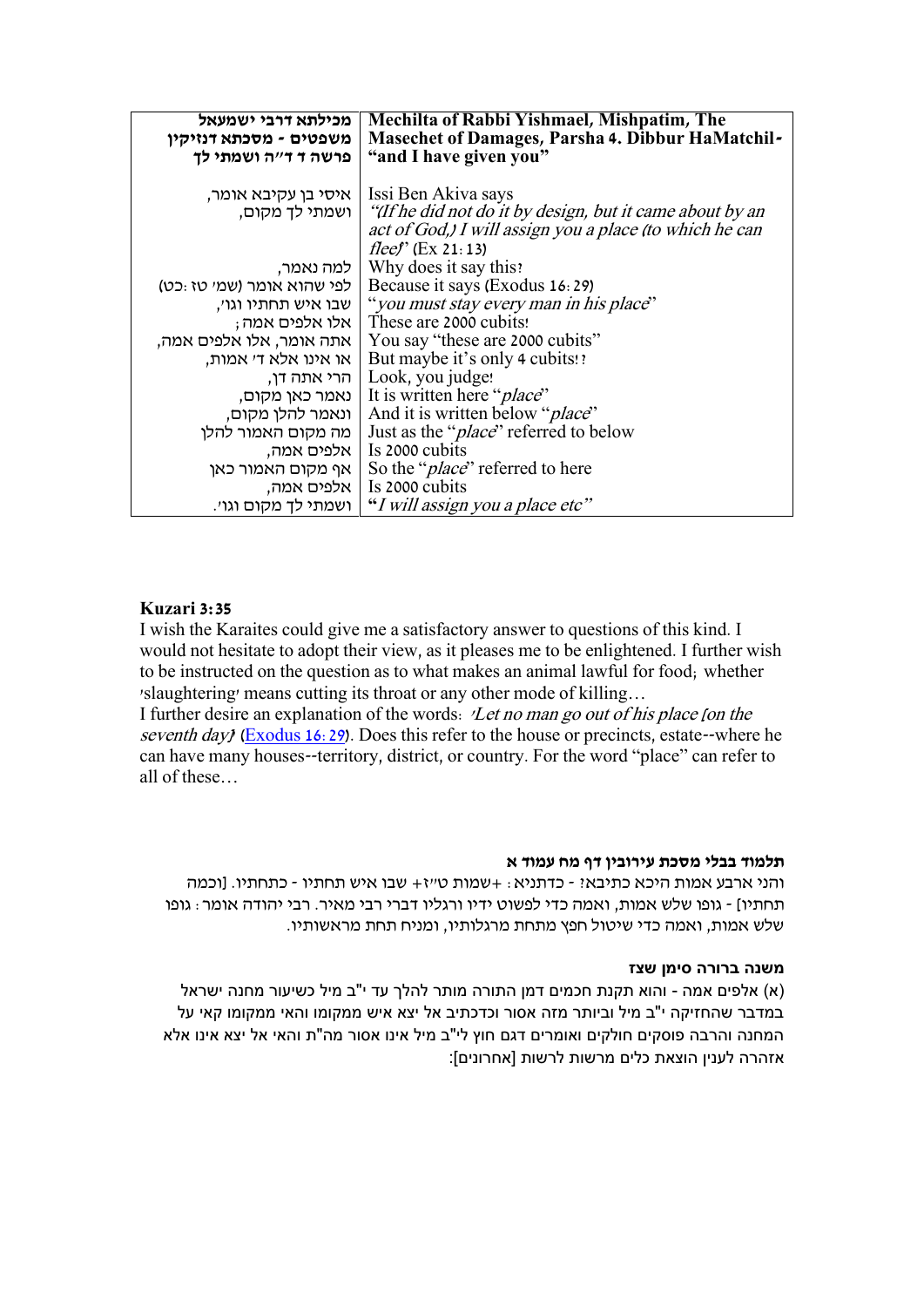| מכילתא דרבי ישמעאל                            | <b>Mechilta of Rabbi Yishmael, Mishpatim, The</b><br><b>Masechet of Damages, Parsha 4. Dibbur HaMatchil-</b> |
|-----------------------------------------------|--------------------------------------------------------------------------------------------------------------|
| משפטים - מסכתא דנזיקין<br>פרשה ד ד״ה ושמתי לך | "and I have given you"                                                                                       |
|                                               |                                                                                                              |
| איסי בן עקיבא אומר,                           | Issi Ben Akiva says                                                                                          |
|                                               | ן ישמתי לך מקום, "If he did not do it by design, but it came about by an                                     |
|                                               | act of God,) I will assign you a place (to which he can                                                      |
|                                               | fleef' (Ex 21:13)                                                                                            |
| למה נאמר,                                     | Why does it say this?                                                                                        |
| לפי שהוא אומר (שמי טז:כט)                     | Because it says (Exodus 16:29)                                                                               |
|                                               | , שבו איש תחתיו וגו׳ (you must stay every man in his place")                                                 |
|                                               | ; These are 2000 cubits!   אלו אלפים אמה                                                                     |
| אתה אומר, אלו אלפים אמה,                      | You say "these are 2000 cubits"                                                                              |
| או אינו אלא ד׳ אמות,                          | But maybe it's only 4 cubits!?                                                                               |
|                                               | הרי אתה דן, Look, you judge!                                                                                 |
| נאמר כאן מקום,                                | It is written here " <i>place</i> "                                                                          |
| ונאמר להלן מקום,                              | And it is written below " <i>place</i> "                                                                     |
| מה מקום האמור להלן                            | Just as the " <i>place</i> " referred to below                                                               |
|                                               | Is 2000 cubits   אלפים אמה,                                                                                  |
| אף מקום האמור כאן                             | So the " <i>place</i> " referred to here                                                                     |
| אלפים אמה,                                    | Is 2000 cubits                                                                                               |
| ושמתי לך מקום וגו׳.                           | "I will assign you a place etc"                                                                              |

#### **Kuzari 3:35**

I wish the Karaites could give me a satisfactory answer to questions of this kind. I would not hesitate to adopt their view, as it pleases me to be enlightened. I further wish to be instructed on the question as to what makes an animal lawful for food; whether 'slaughtering' means cutting its throat or any other mode of killing…

I further desire an explanation of the words: 'Let no man go out of his place [on the seventh day) ( $Exodus 16:29$ ). Does this refer to the house or precincts, estate--where he can have many houses--territory, district, or country. For the word "place" can refer to all of these…

#### **תלמוד בבלי מסכת עירובין דף מח עמוד א**

והני ארבע אמות היכא כתיבא? - כדתניא: +שמות ט"ז+ שבו איש תחתיו - כתחתיו. ]וכמה תחתיו[ - גופו שלש אמות, ואמה כדי לפשוט ידיו ורגליו דברי רבי מאיר. רבי יהודה אומר: גופו שלש אמות, ואמה כדי שיטול חפץ מתחת מרגלותיו, ומניח תחת מראשותיו.

#### **משנה ברורה סימן שצז**

)א( אלפים אמה - והוא תקנת חכמים דמן התורה מותר להלך עד י"ב מיל כשיעור מחנה ישראל במדבר שהחזיקה י"ב מיל וביותר מזה אסור וכדכתיב אל יצא איש ממקומו והאי ממקומו קאי על המחנה והרבה פוסקים חולקים ואומרים דגם חוץ לי"ב מיל אינו אסור מה"ת והאי אל יצא אינו אלא אזהרה לענין הוצאת כלים מרשות לרשות ]אחרונים[: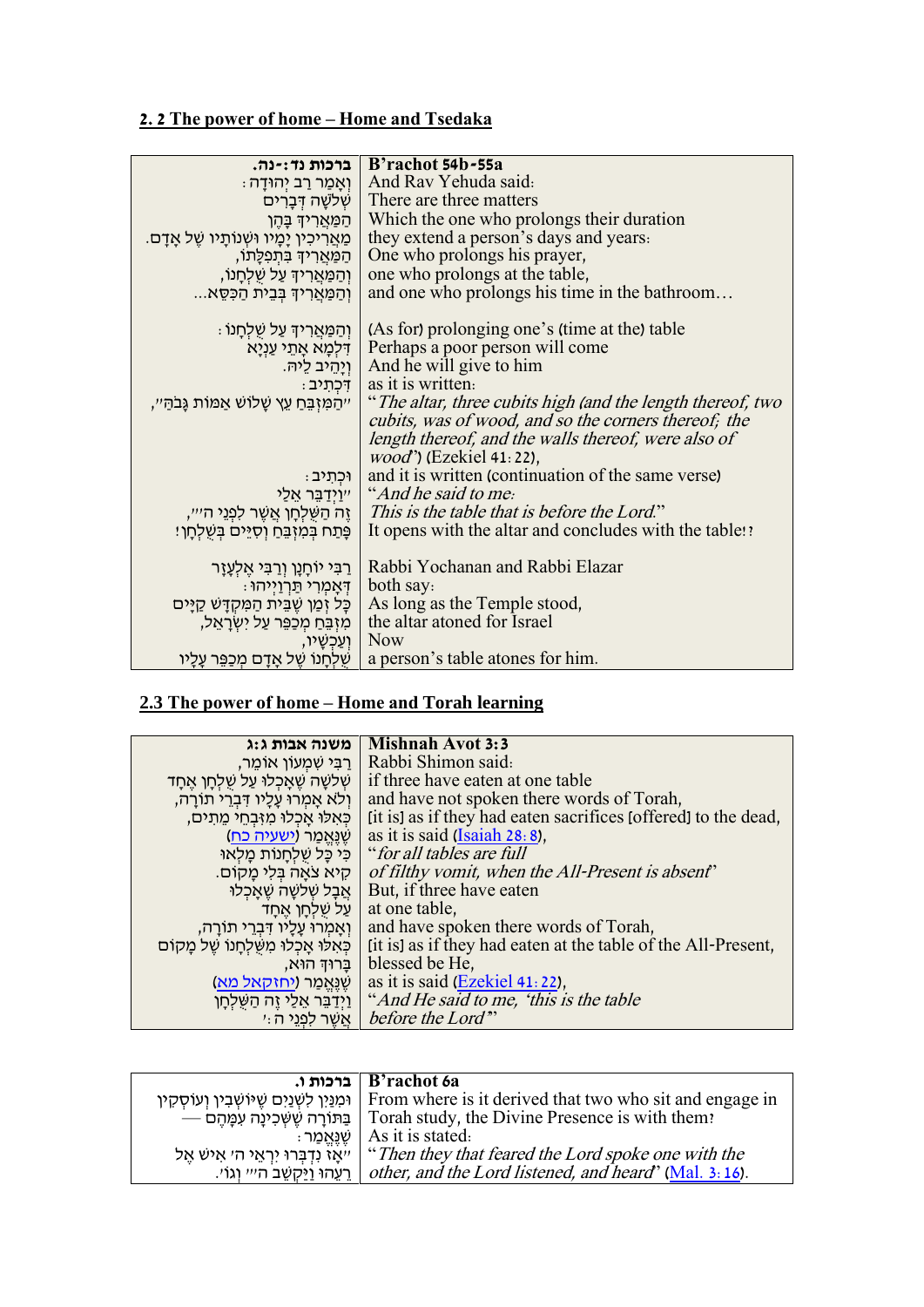## **2. 2 The power of home – Home and Tsedaka**

| ברכות נד:-נה.                                 | B'rachot 54b-55a                                                               |
|-----------------------------------------------|--------------------------------------------------------------------------------|
| ּוְאָמַר רַב יִהוּדָה :                       | And Rav Yehuda said:                                                           |
| √ שִׁלשָׁה דִּבְרִים                          | There are three matters                                                        |
| הַמַּאֲרִידְ בָּהֶן                           | Which the one who prolongs their duration                                      |
| ַמַּאֲרִיכִין יָמָיו וּשְׁנוֹתָיו שֶׁל אָדָם. | they extend a person's days and years.                                         |
| ְהַמַּאֲרִיךָ בִּתְפְלָתוֹ,                   | One who prolongs his prayer,                                                   |
| וְהַמַּאֲרִיךָ עַל שֶׁלְחָנוֹ,                | one who prolongs at the table,                                                 |
| וְהַמַּאֲרִיךְ בְּבֵית הַכְּסֵא               | and one who prolongs his time in the bathroom                                  |
|                                               |                                                                                |
| ּן וְהַמַּאֲרִידְ עַל שְׁלְחָנוֹ              | (As for) prolonging one's (time at the) table                                  |
|                                               | ּדְלְמָא אָתֵי עַנְיָא   Perhaps a poor person will come                       |
|                                               | ן יַנְהֵיב לֵיהּ   And he will give to him                                     |
| ּן דִּכְתְיִב                                 | as it is written.                                                              |
| ייהמזְבֵּח עֵץ שָׁלוֹשׁ אַמּוֹת גַּבֹהַ׳׳,    | "The altar, three cubits high (and the length thereof, two                     |
|                                               | cubits, was of wood, and so the corners thereof; the                           |
|                                               | length thereof, and the walls thereof, were also of                            |
|                                               | <i>wood</i> ") (Ezekiel 41:22),                                                |
| ּוּכְתִיב)                                    | and it is written (continuation of the same verse)                             |
|                                               | "וַיְרַבֵּר אֵלַי   "And he said to me:                                        |
|                                               | ה הַשְׁלְחָן אֲשֵׁר לְפְנֵי ה־ייי, This is the table that is before the Lord." |
| ְפָּתַח בְּמִזְבֵּחַ וְסְיֵּים בִּשְׁלְחָן!   | It opens with the altar and concludes with the table!                          |
|                                               |                                                                                |
| ַרַבִּי יוֹחָנָן וְרַבִּי אֵלְעָזָר           | Rabbi Yochanan and Rabbi Elazar                                                |
| ּדְאָמְרִי תַּרְוַיְיהוּ :                    | both say:                                                                      |
| כָּל זְמַן שֶׁבֵּית הַמְקָדָשׁ קַיַּים        | As long as the Temple stood,                                                   |
| מִזְבֵּחַ מִכַּפֵּר עַל יִשְׂרָאֵל,           | the altar atoned for Israel                                                    |
| וִעֲכִשַׁיו,                                  | <b>Now</b>                                                                     |
| שָׁלְחָנוֹ שֵׁל אָדָם מִכַּפֵּר עָלָיו        | a person's table atones for him.                                               |

### **2.3 The power of home – Home and Torah learning**

| משנה אבות ג:ג                             | <b>Mishnah Avot 3:3</b>                                        |
|-------------------------------------------|----------------------------------------------------------------|
|                                           |                                                                |
| ַרַבִּי שָׁמְעוֹן אוֹמֵר,                 | Rabbi Shimon said:                                             |
| שלשָׁה שֵׁאֲכְלוּ עַל שֵׁלְחָן אֱחָד      | if three have eaten at one table                               |
| ולא אמרו עליו דִּבְרֵי תוֹרָה,            | and have not spoken there words of Torah,                      |
| כאלו אכלו מזבחי מתים,                     | (it is) as if they had eaten sacrifices [offered] to the dead, |
| שַׁנֵּאֵמַר ( <u>ישעיה כח</u> )           | as it is said $(Isaiah 28:8)$ ,                                |
| כִּי כָּל שָׁלְחָנוֹת מַלְאוּ             | "for all tables are full                                       |
| קיא צאה בלי מקום.                         | of filthy vomit, when the All-Present is absent'               |
| אבל שלשה שאכלו                            | But, if three have eaten                                       |
| על שלחו אחד                               | at one table,                                                  |
| וְאָמְרוּ עָלָיו דְּבְרֵי תוֹרָה,         | and have spoken there words of Torah,                          |
| כְּאִלוּ אָכְלוּ מְשֶׁלְחָנוֹ שֵׁל מְקוֹם | [it is] as if they had eaten at the table of the All-Present,  |
|                                           | ,blessed be He   בַּרוּדְ הוּא,                                |
| שַׁנֵּאֲמַר ( <u>יחזקאל מא</u> )          | as it is said (Ezekiel 41:22),                                 |
| ן וַיִּדְבֵּר אֵלֵי זֶה הַשֶּׁלְחָן       | "And He said to me, 'this is the table'                        |
| אשר לפני ה:י                              | before the Lord"                                               |

|                                        | B'rachot 6a                                                                                               |
|----------------------------------------|-----------------------------------------------------------------------------------------------------------|
|                                        | וּמְנַיְן לְשְׁנַיִם שֵׁיּוֹשְׁבְין וְעוֹסְקִין   From where is it derived that two who sit and engage in |
|                                        | — בַּתּוֹרָה שֵׁשְּׁכִינַה עִמַּהֵם   Torah study, the Divine Presence is with them?                      |
| ּשֶׁנֶּאֱמַר                           | As it is stated.                                                                                          |
| יִיאָז נִדְבְּרוּ יִרְאֵי ה׳ אִישׁ אֱל | "Then they that feared the Lord spoke one with the                                                        |
|                                        | . רַעֲהוּ וַיַּקְשֶׁב הייי וְגוֹי   other, and the Lord listened, and heard' (Mal. 3: 16).                |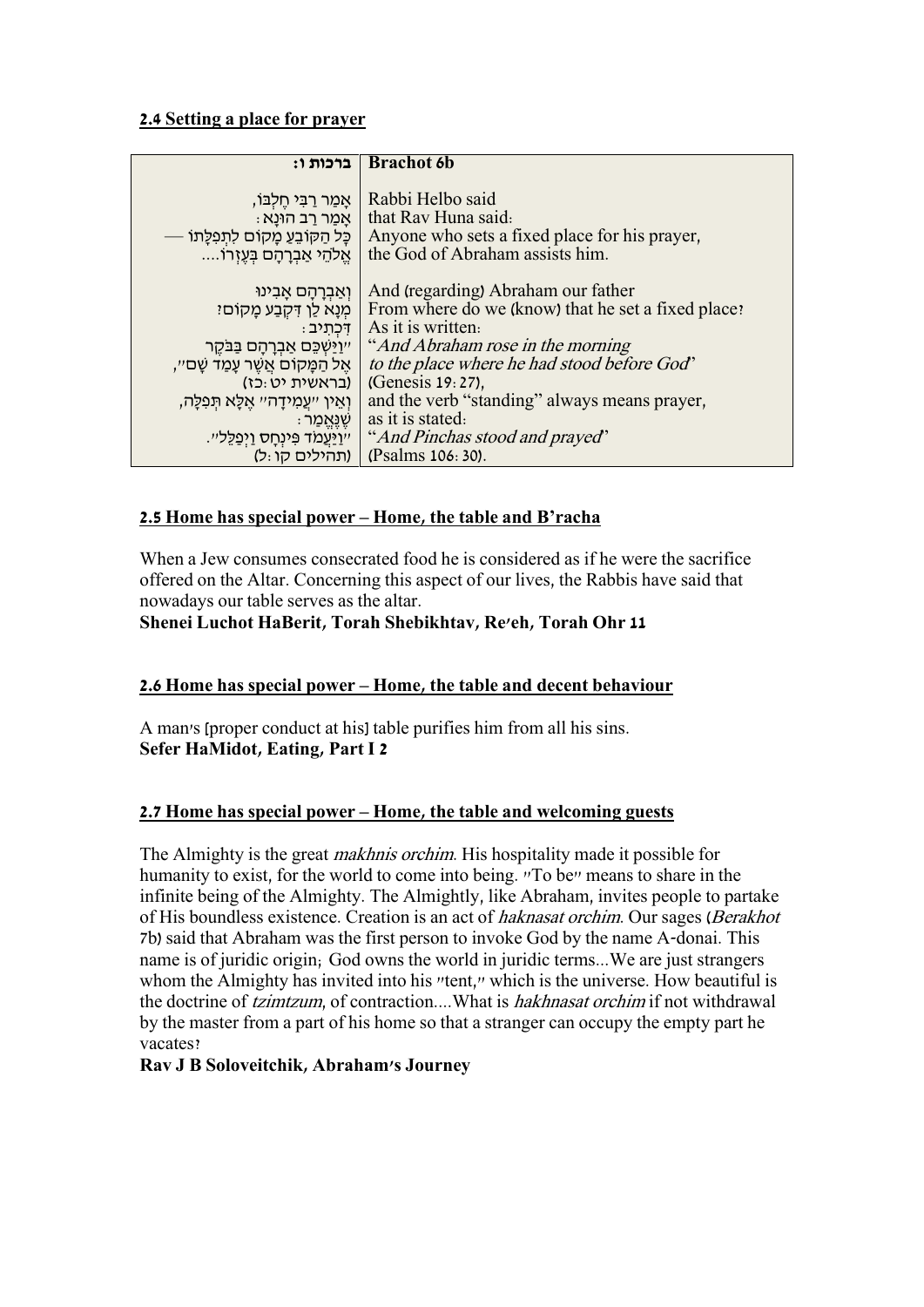#### **2.4 Setting a place for prayer**

| ברכות ו:                                      | <b>Brachot</b> 6b                                  |
|-----------------------------------------------|----------------------------------------------------|
|                                               |                                                    |
| ְאַמַר רַבִּי חֵלְבּוֹ,                       | Rabbi Helbo said                                   |
| ּאַמַר רַב הוּנַא                             | that Ray Huna said:                                |
| כָּל הַקּוֹבֵעַ מְקוֹם לִתְפִלָּתוֹ           | Anyone who sets a fixed place for his prayer,      |
| אֱלֹהֵי אַבְרַחָם בְּעֱזְרוֹ                  | the God of Abraham assists him.                    |
|                                               |                                                    |
| וְאַבְרְהָם אָבִינוּ                          | And (regarding) Abraham our father                 |
| מִנַא לַן דִּקְבַע מַקוֹםי                    | From where do we (know) that he set a fixed place? |
| ּדְכְתְיִב                                    | As it is written.                                  |
| ייַוַיַּשְׁכֵּם אַבְרַהַם בַּבַּקֶר           | "And Abraham rose in the morning"                  |
| ּאֶל הַמָּקוֹם אֲשֵׁר עָמַד שָׁם״,            | to the place where he had stood before God"        |
| (בראשית יט:כז)                                | (Genesis 19:27),                                   |
| וְאֵין ״עֲמְידָה״ אֱלָא תִּפְלָה,             | and the verb "standing" always means prayer,       |
| ּ שֵׁנֵּאֲמַר                                 | as it is stated.                                   |
| <u>ייוַיַּעֲמֹד פִּינְחָס וַיְפַלֵּ</u> לִיי. | "And Pinchas stood and prayed"                     |
| (תהילים קו:ל)                                 | (Psalms 106: 30).                                  |

### **2.5 Home has special power – Home, the table and B'racha**

When a Jew consumes consecrated food he is considered as if he were the sacrifice offered on the Altar. Concerning this aspect of our lives, the Rabbis have said that nowadays our table serves as the altar.

**Shenei Luchot HaBerit, Torah Shebikhtav, Re'eh, Torah Ohr 11**

### **2.6 Home has special power – Home, the table and decent behaviour**

A man's [proper conduct at his] table purifies him from all his sins. **Sefer HaMidot, Eating, Part I 2**

### **2.7 Home has special power – Home, the table and welcoming guests**

The Almighty is the great makhnis orchim. His hospitality made it possible for humanity to exist, for the world to come into being. "To be" means to share in the infinite being of the Almighty. The Almightly, like Abraham, invites people to partake of His boundless existence. Creation is an act of haknasat orchim. Our sages (Berakhot 7b) said that Abraham was the first person to invoke God by the name A-donai. This name is of juridic origin; God owns the world in juridic terms...We are just strangers whom the Almighty has invited into his "tent," which is the universe. How beautiful is the doctrine of *tzimtzum*, of contraction....What is *hakhnasat orchim* if not withdrawal by the master from a part of his home so that a stranger can occupy the empty part he vacates?

#### **Rav J B Soloveitchik, Abraham's Journey**